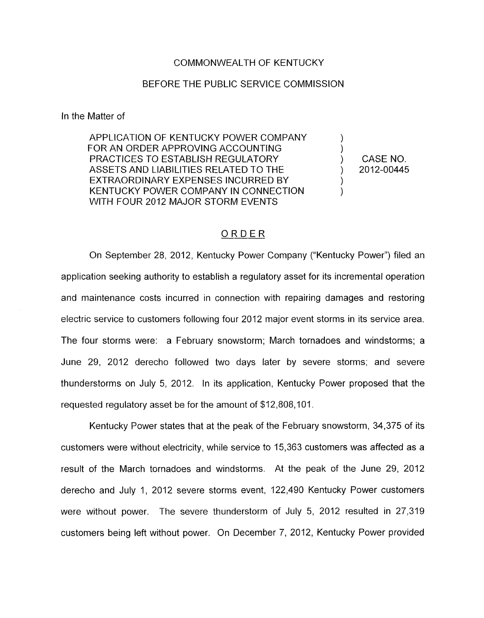#### COMMONWEALTH OF KENTUCKY

### BEFORE THE PUBLIC SERVICE COMMISSION

In the Matter of

APPLICATION OF KENTUCKY POWER COMPANY FOR AN ORDER APPROVING ACCOUNTING PRACTICES TO ESTABLISH REGULATORY ) CASENO. ASSETS AND l..IABILITIES RELATED **PO** THE ) 2012-00445 EXTRAORDINARY EXPENSES INCURRED BY 1 KENTUCKY POWER COMPANY IN CONNECTION WITH FOUR 2012 MAJOR STORM EVENTS

# ORDER

On September 28, 2012, Kentucky Power Company ("Kentucky Power") filed an application seeking authority to establish a regulatory asset for its incremental operation and maintenance casts incurred in connection with repairing damages and restoring electric service to customers following four 2012 major event storms in its service area. The four storms were: a February snowstorm; March tornadoes and windstorms; a June 29, 2012 derecho followed two days later by severe storms; and severe thunderstorms on July 5, 2012. In its application, Kentucky Power proposed that the requested regulatory asset be for the amount of \$12,808,101.

Kentucky Power states that at the peak of the February snowstorm, 34,375 of its customers were without electricity, while service to 15,363 customers was affected as a result of the March tornadoes and windstorms. At the peak of the June 29, 2012 derecho and July I, 2012 severe storms event, 122,490 Kentucky Power customers were without power. The severe thunderstorm of July 5, 2012 resulted in 27,319 customers being left without power. On December 7, 2012, Kentucky Power provided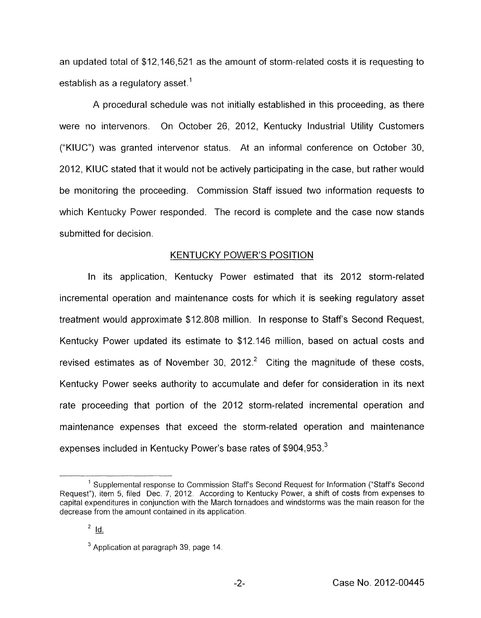an updated total of \$12,146,521 as the amount of storm-related costs it is requesting to establish as a regulatory asset.<sup>1</sup>

A procedural schedule was not initially established in this proceeding, as there were no intervenors. On October 26, 2012, Kentucky Industrial Utility Customers ("KIUC") was granted intervenor status. At an informal conference on October 30, 2012, KIUC stated that it would not he actively participating in the case, but rather would be monitoring the proceeding. Commission Staff issued two information requests to which Kentucky Power responded. The record is complete and the case now stands submitted for decision.

# **KENTUCKY POWER'S POSITION**

In its application, Kentucky Power estimated that its 2012 storm-related incremental operation and maintenance costs for which it is seeking regulatory asset treatment would approximate \$12.808 million. In response to Staff's Second Request, Kentucky Power updated its estimate to \$12.146 million, based on actual costs and revised estimates as of November 30, 2012. $^2$  Citing the magnitude of these costs, Kentucky Power seeks authority to accumulate and defer for consideration in its next rate proceeding that portion of the 2012 storm-related incremental operation and maintenance expenses that exceed the storm-related operation and maintenance expenses included in Kentucky Power's base rates of \$904,953.<sup>3</sup>

<sup>&</sup>lt;sup>1</sup> Supplemental response to Commission Staff's Second Request for Information ("Staff's Second Request"), item 5, filed Dec. 7, 2012 According to Kentucky Power, a shift of costs from expenses to capital expenditures in conjunction with the March tornadoes and windstorms was the main reason for the decrease from the amount contained in its application.

 $2$  <u>Id.</u>

<sup>&</sup>lt;sup>3</sup> Application at paragraph 39, page 14.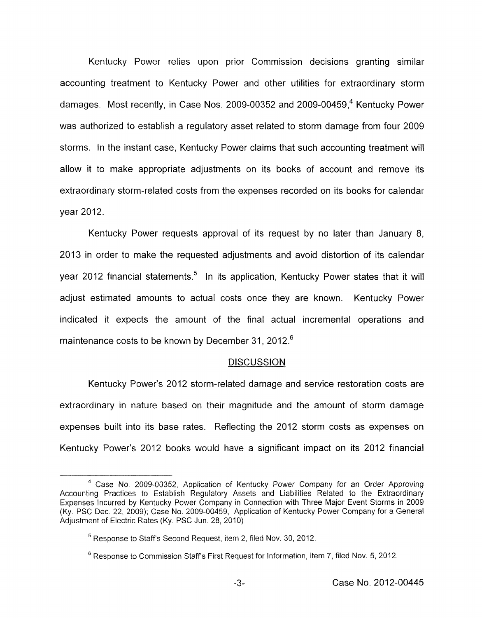Kentucky Power relies upon prior Commission decisions granting similar accounting treatment to Kentucky Power and other utilities for extraordinary storm damages. Most recently, in Case Nos. 2009-00352 and 2009-00459,4 Kentucky Power was authorized to establish a regulatory asset related to storm damage from four 2009 storms. In the instant case, Kentucky Power claims that such accounting treatment will allow it to make appropriate adjustments on its books of account and remove its extraordinary storm-related costs from the expenses recorded on its books for calendar year 2012.

Kentucky Power requests approval of its request by no later than January 8, 2013 in order to make the requested adjustments and avoid distortion of its calendar year 2012 financial statements.<sup>5</sup> In its application, Kentucky Power states that it will adjust estimated amounts to actual costs once they are known. Kentucky Power indicated it expects the amount of the final actual incremental operations and maintenance costs to be known by December 31, 2012.<sup>6</sup>

#### **DISCUSSION**

Kentucky Power's 2012 storm-related damage and service restoration costs are extraordinary in nature based on their magnitude and the amount of storm damage expenses built into its base rates. Reflecting the 2012 storm costs as expenses on Kentucky Power's 2012 books would have a significant impact on its 2012 financial

<sup>&</sup>lt;sup>4</sup> Case No. 2009-00352, Application of Kentucky Power Company for an Order Approving Accounting Practices to Establish Regulatory Assets and Liabilities Related to the Extraordinary Expenses Incurred by Kentucky Power Company in Connection with Three Major Event Storms in 2009 (Ky. PSC Dec. 22, 2009), Case No 2009-00459, Application of Kentucky Power Company for a General Adjustment of Electric Rates (Ky. PSC Jun. 28, 2010)

<sup>&</sup>lt;sup>5</sup> Response to Staff's Second Request, item 2, filed Nov. 30, 2012.

<sup>&</sup>lt;sup>6</sup> Response to Commission Staff's First Request for Information, item 7, filed Nov. 5, 2012.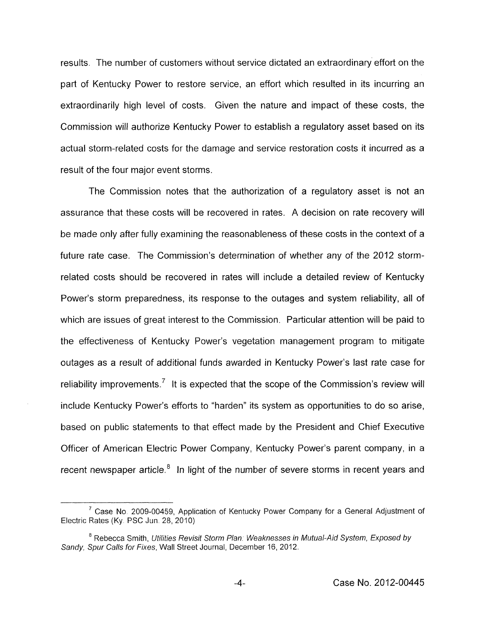results. The number of customers without service dictated an extraordinary effort on the part of Kentucky Power to restore service, an effort which resulted in its incurring an extraordinarily high level of costs. Given the nature and impact of these costs, the Commission will authorize Kentucky Power to establish a regulatory asset based on its actual storm-related costs for the damage and service restoration costs it incurred as a result of the four major event storms.

The Commission notes that the authorization of a regulatory asset is not an assurance that these costs will be recovered in rates. A decision on rate recovery will be made only after fully examining the reasonableness of these costs in the context of a future rate case. The Commission's determination of whether any of the 2012 stormrelated costs should be recovered in rates will include a detailed review of Kentucky Power's storm preparedness, its response to the outages and system reliability, all of which are issues of great interest to the Commission. Particular attention will be paid to the effectiveness of Kentucky Power's vegetation management program to mitigate outages as a result of additional funds awarded in Kentucky Power's last rate case for reliability improvements.<sup>7</sup> It is expected that the scope of the Commission's review will include Kentucky Power's efforts to "harden" its system as opportunities to do so arise, based on public statements to that effect made by the President and Chief Executive Officer of American Electric Power Company, Kentucky Power's parent company, in a recent newspaper article.<sup>8</sup> In light of the number of severe storms in recent years and

<sup>&</sup>lt;sup>7</sup> Case No. 2009-00459, Application of Kentucky Power Company for a General Adjustment of Electric Rates (Ky PSC Jun 28, 2010)

<sup>&</sup>lt;sup>8</sup> Rebecca Smith, *Utilities Revisit Storm Plan: Weaknesses in Mutual-Aid System, Exposed by Sandy, Spur Calls for fixes,* Wall Street Journal, December 16, 2012.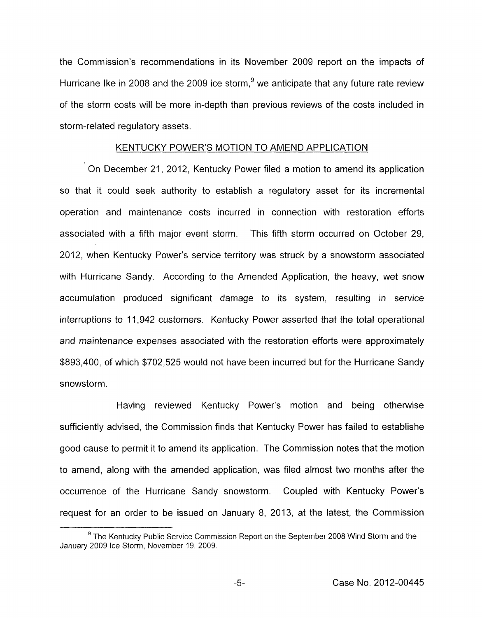the Commission's recommendations in its November 2009 report on the impacts of Hurricane Ike in 2008 and the 2009 ice storm,  $9$  we anticipate that any future rate review of the storm costs will be more in-depth than previous reviews of the costs included in storm-related regulatory assets.

### KENTUCKY POWER'S MOTION TO AMEND APPLICATION

On December 21, 2012, Kentucky Power filed a motion to amend its application so that it could seek authority to establish a regulatory asset for its incremental operation and maintenance costs incurred in connection with restoration efforts associated with a fifth major event storm. This fifth storm occurred on October 29, 2012, when Kentucky Power's service territory was struck by a snowstorm associated with Hurricane Sandy. According to the Amended Application, the heavy, wet snow accumulation produced significant damage to its system, resulting in service interruptions to 11,942 customers. Kentucky Power asserted that the total operational and maintenance expenses associated with the restoration efforts were approximately \$893,400, of which \$702,525 would not have been incurred but for the Hurricane Sandy snowstorm.

Having reviewed Kentucky Power's motion and being otherwise sufficiently advised, the Commission finds that Kentucky Power has failed to establishe good cause to permit it to amend its application. The Commission notes that the motion to amend, along with the amended application, was filed almost two months after the occurrence of the Hurricane Sandy snowstorm. Coupled with Kentucky Power's request for an order to be issued on January 8, 2013, at the latest, the Commission

The Kentucky Public Service Commission Report on the September 2008 Wind Storm and the **<sup>9</sup>** January 2009 Ice Storm, November 19, 2009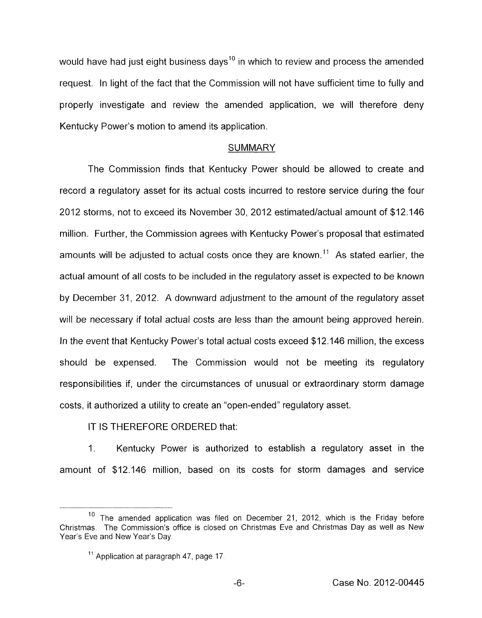would have had just eight business days<sup>10</sup> in which to review and process the amended request. In light of the fact that the Commission will not have sufficient time to fully and properly investigate and review the amended application, we will therefore deny Kentucky Power's motion to amend its application.

## **SUMMARY**

The Commission finds that Kentucky Power should be allowed to create and record a regulatory asset for its actual costs incurred to restore service during the four 2012 storms, not to exceed its November 30, 2012 estimated/actual amount of \$12.146 million. Further, the Commission agrees with Kentucky Power's proposal that estimated amounts will be adjusted to actual costs once they are known." **As** stated earlier, the actual amount of all costs to be included in the regulatory asset is expected to be known by December 31, 2012. A downward adjustment to the amount *of* the regulatory asset will be necessary if total actual costs are less than the amount being approved herein. In the event that Kentucky Power's total actual costs exceed \$12.146 million, the excess should he expensed. The Commission would not be meeting its regulatory responsibilities if, under the circumstances of unusual or extraordinary storm damage costs, it authorized a utility to create an "open-ended" regulatory asset.

# IT IS THEREFORE ORDERED that:

1. Kentucky Power is authorized to establish a regulatory asset in the amount of \$12.146 million, based on its costs for storm damages and service

<sup>&</sup>lt;sup>10</sup> The amended application was filed on December 21, 2012, which is the Friday before Christmas. The Commission's office is closed on Christmas Eve and Christmas Day as well as New Year's Eve and New Year's Day.

 $<sup>11</sup>$  Application at paragraph 47, page 17.</sup>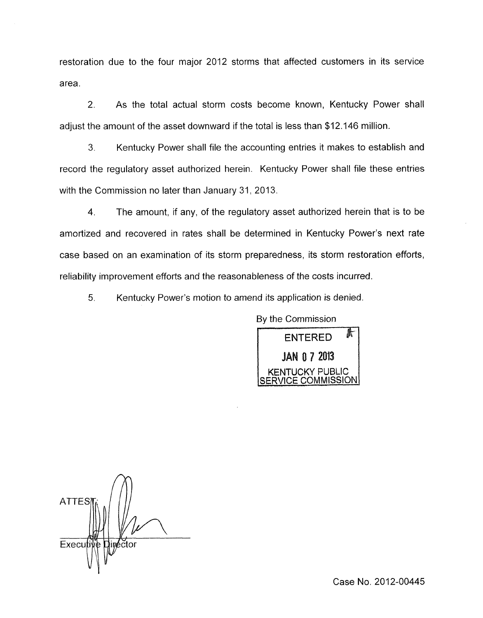restoration due to the four major 2012 storms that affected customers in its service area.

2. As the total actual storm costs become known, Kentucky Power shall adjust the amount of the asset downward if the total is less than \$12.146 million.

**3.** Kentucky Power shall file the accounting entries it makes to establish and record the regulatory asset authorized herein. Kentucky Power shall file these entries with the Commission no later than January 31, 2013.

4. The amount, if any, of the regulatory asset authorized herein that is to be amortized and recovered in rates shall be determined in Kentucky Power's next rate case based on an examination of its storm preparedness, its storm restoration efforts, reliability improvement efforts and the reasonableness of the costs incurred.

5. Kentucky Power's motion to amend its application is denied.

By the Commission 虾 **ENTERED** IAN 0 7 2013 JCKY PUBLIC <u>SERVICE COMMISSION</u>

**ATTES** Execu